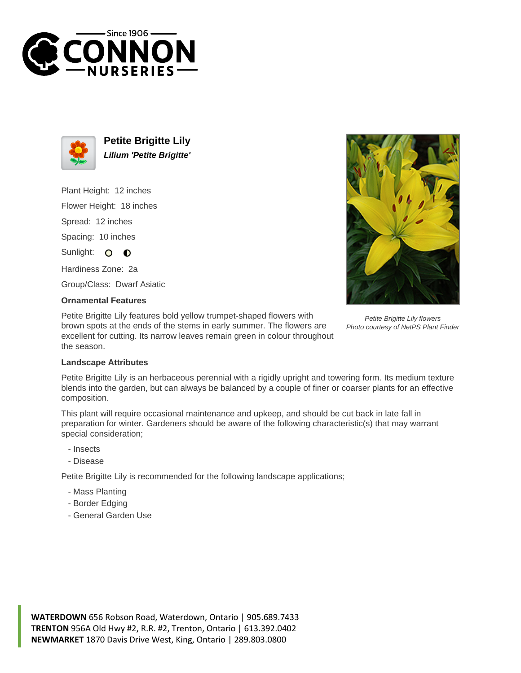



**Petite Brigitte Lily Lilium 'Petite Brigitte'**

Plant Height: 12 inches

Flower Height: 18 inches

Spread: 12 inches

Spacing: 10 inches

Sunlight: O  $\bullet$ 

Hardiness Zone: 2a

Group/Class: Dwarf Asiatic

## **Ornamental Features**

Petite Brigitte Lily features bold yellow trumpet-shaped flowers with brown spots at the ends of the stems in early summer. The flowers are excellent for cutting. Its narrow leaves remain green in colour throughout the season.



Petite Brigitte Lily flowers Photo courtesy of NetPS Plant Finder

## **Landscape Attributes**

Petite Brigitte Lily is an herbaceous perennial with a rigidly upright and towering form. Its medium texture blends into the garden, but can always be balanced by a couple of finer or coarser plants for an effective composition.

This plant will require occasional maintenance and upkeep, and should be cut back in late fall in preparation for winter. Gardeners should be aware of the following characteristic(s) that may warrant special consideration;

- Insects
- Disease

Petite Brigitte Lily is recommended for the following landscape applications;

- Mass Planting
- Border Edging
- General Garden Use

**WATERDOWN** 656 Robson Road, Waterdown, Ontario | 905.689.7433 **TRENTON** 956A Old Hwy #2, R.R. #2, Trenton, Ontario | 613.392.0402 **NEWMARKET** 1870 Davis Drive West, King, Ontario | 289.803.0800